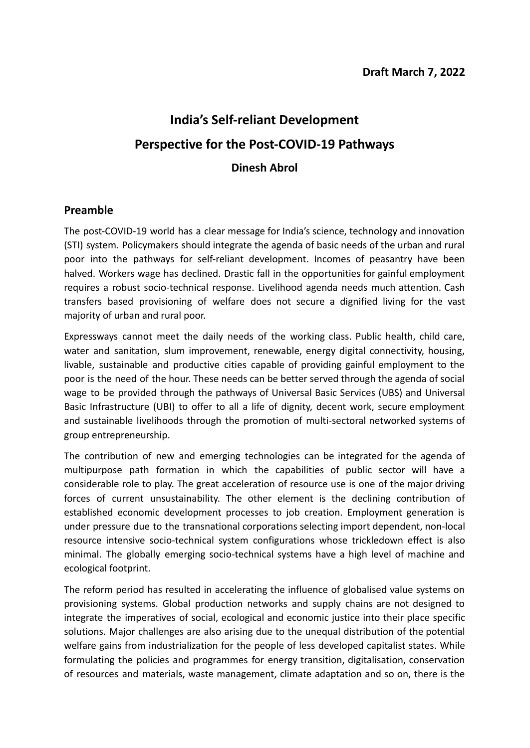# **India's Self-reliant Development Perspective for the Post-COVID-19 Pathways Dinesh Abrol**

## **Preamble**

The post-COVID-19 world has a clear message for India's science, technology and innovation (STI) system. Policymakers should integrate the agenda of basic needs of the urban and rural poor into the pathways for self-reliant development. Incomes of peasantry have been halved. Workers wage has declined. Drastic fall in the opportunities for gainful employment requires a robust socio-technical response. Livelihood agenda needs much attention. Cash transfers based provisioning of welfare does not secure a dignified living for the vast majority of urban and rural poor.

Expressways cannot meet the daily needs of the working class. Public health, child care, water and sanitation, slum improvement, renewable, energy digital connectivity, housing, livable, sustainable and productive cities capable of providing gainful employment to the poor is the need of the hour. These needs can be better served through the agenda of social wage to be provided through the pathways of Universal Basic Services (UBS) and Universal Basic Infrastructure (UBI) to offer to all a life of dignity, decent work, secure employment and sustainable livelihoods through the promotion of multi-sectoral networked systems of group entrepreneurship.

The contribution of new and emerging technologies can be integrated for the agenda of multipurpose path formation in which the capabilities of public sector will have a considerable role to play. The great acceleration of resource use is one of the major driving forces of current unsustainability. The other element is the declining contribution of established economic development processes to job creation. Employment generation is under pressure due to the transnational corporations selecting import dependent, non-local resource intensive socio-technical system configurations whose trickledown effect is also minimal. The globally emerging socio-technical systems have a high level of machine and ecological footprint.

The reform period has resulted in accelerating the influence of globalised value systems on provisioning systems. Global production networks and supply chains are not designed to integrate the imperatives of social, ecological and economic justice into their place specific solutions. Major challenges are also arising due to the unequal distribution of the potential welfare gains from industrialization for the people of less developed capitalist states. While formulating the policies and programmes for energy transition, digitalisation, conservation of resources and materials, waste management, climate adaptation and so on, there is the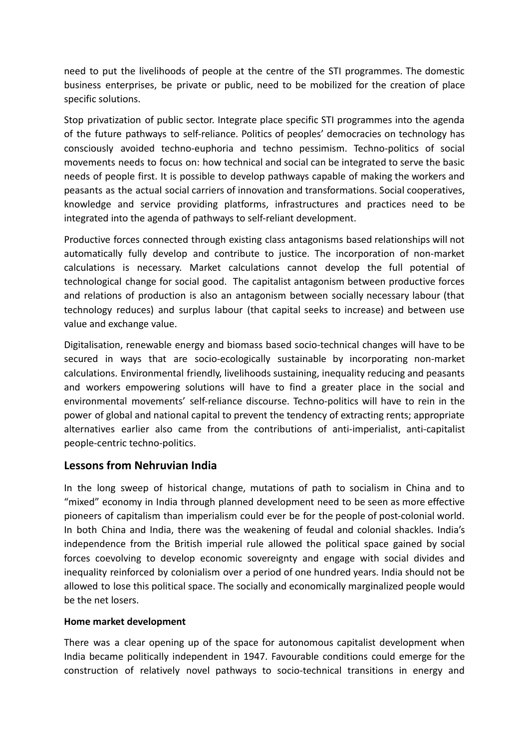need to put the livelihoods of people at the centre of the STI programmes. The domestic business enterprises, be private or public, need to be mobilized for the creation of place specific solutions.

Stop privatization of public sector. Integrate place specific STI programmes into the agenda of the future pathways to self-reliance. Politics of peoples' democracies on technology has consciously avoided techno-euphoria and techno pessimism. Techno-politics of social movements needs to focus on: how technical and social can be integrated to serve the basic needs of people first. It is possible to develop pathways capable of making the workers and peasants as the actual social carriers of innovation and transformations. Social cooperatives, knowledge and service providing platforms, infrastructures and practices need to be integrated into the agenda of pathways to self-reliant development.

Productive forces connected through existing class antagonisms based relationships will not automatically fully develop and contribute to justice. The incorporation of non-market calculations is necessary. Market calculations cannot develop the full potential of technological change for social good. The capitalist antagonism between productive forces and relations of production is also an antagonism between socially necessary labour (that technology reduces) and surplus labour (that capital seeks to increase) and between use value and exchange value.

Digitalisation, renewable energy and biomass based socio-technical changes will have to be secured in ways that are socio-ecologically sustainable by incorporating non-market calculations. Environmental friendly, livelihoods sustaining, inequality reducing and peasants and workers empowering solutions will have to find a greater place in the social and environmental movements' self-reliance discourse. Techno-politics will have to rein in the power of global and national capital to prevent the tendency of extracting rents; appropriate alternatives earlier also came from the contributions of anti-imperialist, anti-capitalist people-centric techno-politics.

### **Lessons from Nehruvian India**

In the long sweep of historical change, mutations of path to socialism in China and to "mixed" economy in India through planned development need to be seen as more effective pioneers of capitalism than imperialism could ever be for the people of post-colonial world. In both China and India, there was the weakening of feudal and colonial shackles. India's independence from the British imperial rule allowed the political space gained by social forces coevolving to develop economic sovereignty and engage with social divides and inequality reinforced by colonialism over a period of one hundred years. India should not be allowed to lose this political space. The socially and economically marginalized people would be the net losers.

### **Home market development**

There was a clear opening up of the space for autonomous capitalist development when India became politically independent in 1947. Favourable conditions could emerge for the construction of relatively novel pathways to socio-technical transitions in energy and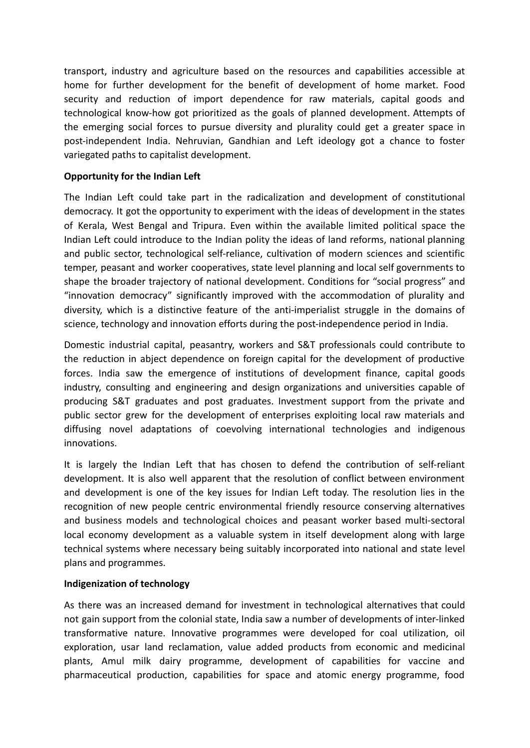transport, industry and agriculture based on the resources and capabilities accessible at home for further development for the benefit of development of home market. Food security and reduction of import dependence for raw materials, capital goods and technological know-how got prioritized as the goals of planned development. Attempts of the emerging social forces to pursue diversity and plurality could get a greater space in post-independent India. Nehruvian, Gandhian and Left ideology got a chance to foster variegated paths to capitalist development.

### **Opportunity for the Indian Left**

The Indian Left could take part in the radicalization and development of constitutional democracy. It got the opportunity to experiment with the ideas of development in the states of Kerala, West Bengal and Tripura. Even within the available limited political space the Indian Left could introduce to the Indian polity the ideas of land reforms, national planning and public sector, technological self-reliance, cultivation of modern sciences and scientific temper, peasant and worker cooperatives, state level planning and local self governments to shape the broader trajectory of national development. Conditions for "social progress" and "innovation democracy" significantly improved with the accommodation of plurality and diversity, which is a distinctive feature of the anti-imperialist struggle in the domains of science, technology and innovation efforts during the post-independence period in India.

Domestic industrial capital, peasantry, workers and S&T professionals could contribute to the reduction in abject dependence on foreign capital for the development of productive forces. India saw the emergence of institutions of development finance, capital goods industry, consulting and engineering and design organizations and universities capable of producing S&T graduates and post graduates. Investment support from the private and public sector grew for the development of enterprises exploiting local raw materials and diffusing novel adaptations of coevolving international technologies and indigenous innovations.

It is largely the Indian Left that has chosen to defend the contribution of self-reliant development. It is also well apparent that the resolution of conflict between environment and development is one of the key issues for Indian Left today. The resolution lies in the recognition of new people centric environmental friendly resource conserving alternatives and business models and technological choices and peasant worker based multi-sectoral local economy development as a valuable system in itself development along with large technical systems where necessary being suitably incorporated into national and state level plans and programmes.

### **Indigenization of technology**

As there was an increased demand for investment in technological alternatives that could not gain support from the colonial state, India saw a number of developments of inter-linked transformative nature. Innovative programmes were developed for coal utilization, oil exploration, usar land reclamation, value added products from economic and medicinal plants, Amul milk dairy programme, development of capabilities for vaccine and pharmaceutical production, capabilities for space and atomic energy programme, food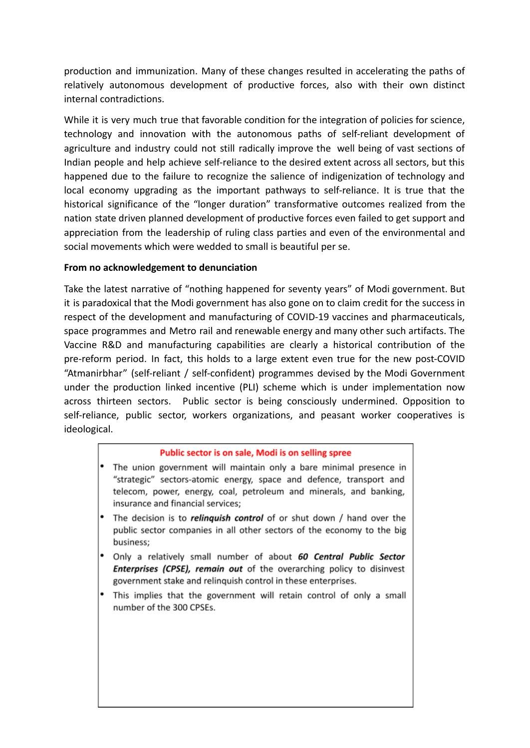production and immunization. Many of these changes resulted in accelerating the paths of relatively autonomous development of productive forces, also with their own distinct internal contradictions.

While it is very much true that favorable condition for the integration of policies for science, technology and innovation with the autonomous paths of self-reliant development of agriculture and industry could not still radically improve the well being of vast sections of Indian people and help achieve self-reliance to the desired extent across all sectors, but this happened due to the failure to recognize the salience of indigenization of technology and local economy upgrading as the important pathways to self-reliance. It is true that the historical significance of the "longer duration" transformative outcomes realized from the nation state driven planned development of productive forces even failed to get support and appreciation from the leadership of ruling class parties and even of the environmental and social movements which were wedded to small is beautiful per se.

### **From no acknowledgement to denunciation**

Take the latest narrative of "nothing happened for seventy years" of Modi government. But it is paradoxical that the Modi government has also gone on to claim credit for the success in respect of the development and manufacturing of COVID-19 vaccines and pharmaceuticals, space programmes and Metro rail and renewable energy and many other such artifacts. The Vaccine R&D and manufacturing capabilities are clearly a historical contribution of the pre-reform period. In fact, this holds to a large extent even true for the new post-COVID "Atmanirbhar" (self-reliant / self-confident) programmes devised by the Modi Government under the production linked incentive (PLI) scheme which is under implementation now across thirteen sectors. Public sector is being consciously undermined. Opposition to self-reliance, public sector, workers organizations, and peasant worker cooperatives is ideological.

### Public sector is on sale, Modi is on selling spree

- The union government will maintain only a bare minimal presence in "strategic" sectors-atomic energy, space and defence, transport and telecom, power, energy, coal, petroleum and minerals, and banking, insurance and financial services:
- The decision is to *relinguish control* of or shut down / hand over the public sector companies in all other sectors of the economy to the big business:
- Only a relatively small number of about 60 Central Public Sector Enterprises (CPSE), remain out of the overarching policy to disinvest government stake and relinquish control in these enterprises.
- This implies that the government will retain control of only a small number of the 300 CPSEs.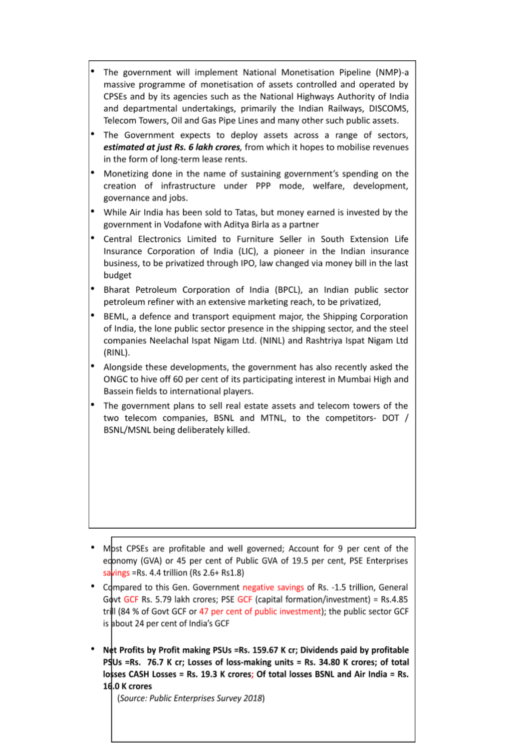- The government will implement National Monetisation Pipeline (NMP)-a massive programme of monetisation of assets controlled and operated by CPSEs and by its agencies such as the National Highways Authority of India and departmental undertakings, primarily the Indian Railways, DISCOMS, Telecom Towers, Oil and Gas Pipe Lines and many other such public assets.
- The Government expects to deploy assets across a range of sectors, estimated at just Rs. 6 lakh crores, from which it hopes to mobilise revenues in the form of long-term lease rents.
- Monetizing done in the name of sustaining government's spending on the creation of infrastructure under PPP mode, welfare, development, governance and jobs.
- While Air India has been sold to Tatas, but money earned is invested by the government in Vodafone with Aditya Birla as a partner
- Central Electronics Limited to Furniture Seller in South Extension Life Insurance Corporation of India (LIC), a pioneer in the Indian insurance business, to be privatized through IPO, law changed via money bill in the last budget
- Bharat Petroleum Corporation of India (BPCL), an Indian public sector petroleum refiner with an extensive marketing reach, to be privatized,
- BEML, a defence and transport equipment major, the Shipping Corporation of India, the lone public sector presence in the shipping sector, and the steel companies Neelachal Ispat Nigam Ltd. (NINL) and Rashtriya Ispat Nigam Ltd (RINL).
- Alongside these developments, the government has also recently asked the ONGC to hive off 60 per cent of its participating interest in Mumbai High and Bassein fields to international players.
- The government plans to sell real estate assets and telecom towers of the two telecom companies, BSNL and MTNL, to the competitors- DOT / BSNL/MSNL being deliberately killed.

- Mbst CPSEs are profitable and well governed; Account for 9 per cent of the edonomy (GVA) or 45 per cent of Public GVA of 19.5 per cent, PSE Enterprises savings = Rs. 4.4 trillion (Rs  $2.6 + Rs1.8$ )
- Compared to this Gen. Government negative savings of Rs. -1.5 trillion, General Govt GCF Rs. 5.79 lakh crores; PSE GCF (capital formation/investment) = Rs.4.85 trill (84 % of Govt GCF or 47 per cent of public investment); the public sector GCF is about 24 per cent of India's GCF
- Net Profits by Profit making PSUs = Rs. 159.67 K cr; Dividends paid by profitable PSUs =Rs. 76.7 K cr; Losses of loss-making units = Rs. 34.80 K crores; of total losses CASH Losses = Rs. 19.3 K crores; Of total losses BSNL and Air India = Rs. 16.0 K crores

(Source: Public Enterprises Survey 2018)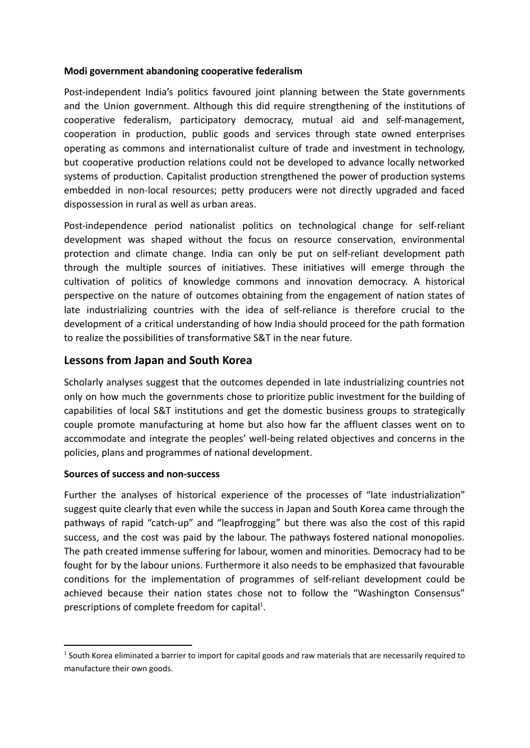### **Modi government abandoning cooperative federalism**

Post-independent India's politics favoured joint planning between the State governments and the Union government. Although this did require strengthening of the institutions of cooperative federalism, participatory democracy, mutual aid and self-management, cooperation in production, public goods and services through state owned enterprises operating as commons and internationalist culture of trade and investment in technology, but cooperative production relations could not be developed to advance locally networked systems of production. Capitalist production strengthened the power of production systems embedded in non-local resources; petty producers were not directly upgraded and faced dispossession in rural as well as urban areas.

Post-independence period nationalist politics on technological change for self-reliant development was shaped without the focus on resource conservation, environmental protection and climate change. India can only be put on self-reliant development path through the multiple sources of initiatives. These initiatives will emerge through the cultivation of politics of knowledge commons and innovation democracy. A historical perspective on the nature of outcomes obtaining from the engagement of nation states of late industrializing countries with the idea of self-reliance is therefore crucial to the development of a critical understanding of how India should proceed for the path formation to realize the possibilities of transformative S&T in the near future.

## **Lessons from Japan and South Korea**

Scholarly analyses suggest that the outcomes depended in late industrializing countries not only on how much the governments chose to prioritize public investment for the building of capabilities of local S&T institutions and get the domestic business groups to strategically couple promote manufacturing at home but also how far the affluent classes went on to accommodate and integrate the peoples' well-being related objectives and concerns in the policies, plans and programmes of national development.

### **Sources of success and non-success**

Further the analyses of historical experience of the processes of "late industrialization" suggest quite clearly that even while the success in Japan and South Korea came through the pathways of rapid "catch-up" and "leapfrogging" but there was also the cost of this rapid success, and the cost was paid by the labour. The pathways fostered national monopolies. The path created immense suffering for labour, women and minorities. Democracy had to be fought for by the labour unions. Furthermore it also needs to be emphasized that favourable conditions for the implementation of programmes of self-reliant development could be achieved because their nation states chose not to follow the "Washington Consensus" prescriptions of complete freedom for capital<sup>1</sup>.

<sup>&</sup>lt;sup>1</sup> South Korea eliminated a barrier to import for capital goods and raw materials that are necessarily required to manufacture their own goods.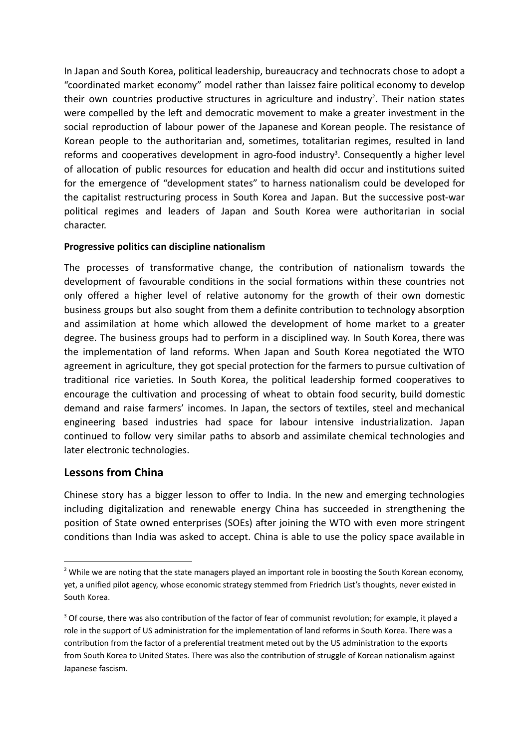In Japan and South Korea, political leadership, bureaucracy and technocrats chose to adopt a "coordinated market economy" model rather than laissez faire political economy to develop their own countries productive structures in agriculture and industry<sup>2</sup>. Their nation states were compelled by the left and democratic movement to make a greater investment in the social reproduction of labour power of the Japanese and Korean people. The resistance of Korean people to the authoritarian and, sometimes, totalitarian regimes, resulted in land reforms and cooperatives development in agro-food industry<sup>3</sup>. Consequently a higher level of allocation of public resources for education and health did occur and institutions suited for the emergence of "development states" to harness nationalism could be developed for the capitalist restructuring process in South Korea and Japan. But the successive post-war political regimes and leaders of Japan and South Korea were authoritarian in social character.

### **Progressive politics can discipline nationalism**

The processes of transformative change, the contribution of nationalism towards the development of favourable conditions in the social formations within these countries not only offered a higher level of relative autonomy for the growth of their own domestic business groups but also sought from them a definite contribution to technology absorption and assimilation at home which allowed the development of home market to a greater degree. The business groups had to perform in a disciplined way. In South Korea, there was the implementation of land reforms. When Japan and South Korea negotiated the WTO agreement in agriculture, they got special protection for the farmers to pursue cultivation of traditional rice varieties. In South Korea, the political leadership formed cooperatives to encourage the cultivation and processing of wheat to obtain food security, build domestic demand and raise farmers' incomes. In Japan, the sectors of textiles, steel and mechanical engineering based industries had space for labour intensive industrialization. Japan continued to follow very similar paths to absorb and assimilate chemical technologies and later electronic technologies.

# **Lessons from China**

Chinese story has a bigger lesson to offer to India. In the new and emerging technologies including digitalization and renewable energy China has succeeded in strengthening the position of State owned enterprises (SOEs) after joining the WTO with even more stringent conditions than India was asked to accept. China is able to use the policy space available in

 $2$  While we are noting that the state managers played an important role in boosting the South Korean economy, yet, a unified pilot agency, whose economic strategy stemmed from Friedrich List's thoughts, never existed in South Korea.

<sup>&</sup>lt;sup>3</sup> Of course, there was also contribution of the factor of fear of communist revolution; for example, it played a role in the support of US administration for the implementation of land reforms in South Korea. There was a contribution from the factor of a preferential treatment meted out by the US administration to the exports from South Korea to United States. There was also the contribution of struggle of Korean nationalism against Japanese fascism.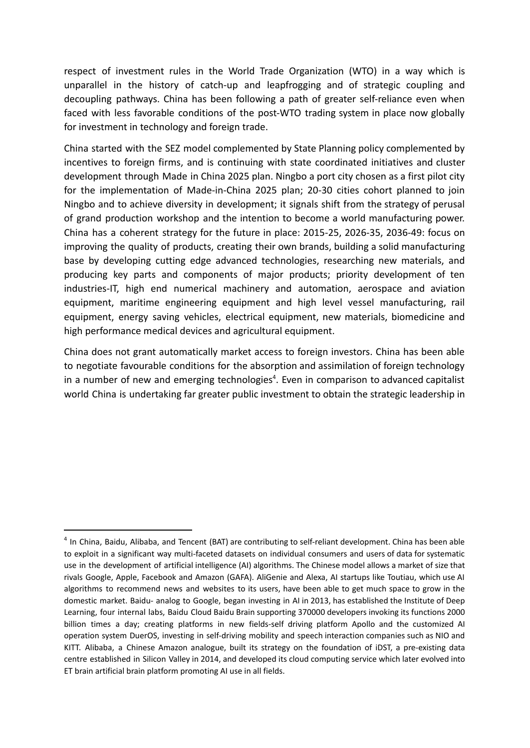respect of investment rules in the World Trade Organization (WTO) in a way which is unparallel in the history of catch-up and leapfrogging and of strategic coupling and decoupling pathways. China has been following a path of greater self-reliance even when faced with less favorable conditions of the post-WTO trading system in place now globally for investment in technology and foreign trade.

China started with the SEZ model complemented by State Planning policy complemented by incentives to foreign firms, and is continuing with state coordinated initiatives and cluster development through Made in China 2025 plan. Ningbo a port city chosen as a first pilot city for the implementation of Made-in-China 2025 plan; 20-30 cities cohort planned to join Ningbo and to achieve diversity in development; it signals shift from the strategy of perusal of grand production workshop and the intention to become a world manufacturing power. China has a coherent strategy for the future in place: 2015-25, 2026-35, 2036-49: focus on improving the quality of products, creating their own brands, building a solid manufacturing base by developing cutting edge advanced technologies, researching new materials, and producing key parts and components of major products; priority development of ten industries-IT, high end numerical machinery and automation, aerospace and aviation equipment, maritime engineering equipment and high level vessel manufacturing, rail equipment, energy saving vehicles, electrical equipment, new materials, biomedicine and high performance medical devices and agricultural equipment.

China does not grant automatically market access to foreign investors. China has been able to negotiate favourable conditions for the absorption and assimilation of foreign technology in a number of new and emerging technologies<sup>4</sup>. Even in comparison to advanced capitalist world China is undertaking far greater public investment to obtain the strategic leadership in

<sup>&</sup>lt;sup>4</sup> In China, Baidu, Alibaba, and Tencent (BAT) are contributing to self-reliant development. China has been able to exploit in a significant way multi-faceted datasets on individual consumers and users of data for systematic use in the development of artificial intelligence (AI) algorithms. The Chinese model allows a market of size that rivals Google, Apple, Facebook and Amazon (GAFA). AliGenie and Alexa, AI startups like Toutiau, which use AI algorithms to recommend news and websites to its users, have been able to get much space to grow in the domestic market. Baidu- analog to Google, began investing in AI in 2013, has established the Institute of Deep Learning, four internal labs, Baidu Cloud Baidu Brain supporting 370000 developers invoking its functions 2000 billion times a day; creating platforms in new fields-self driving platform Apollo and the customized AI operation system DuerOS, investing in self-driving mobility and speech interaction companies such as NIO and KITT. Alibaba, a Chinese Amazon analogue, built its strategy on the foundation of iDST, a pre-existing data centre established in Silicon Valley in 2014, and developed its cloud computing service which later evolved into ET brain artificial brain platform promoting AI use in all fields.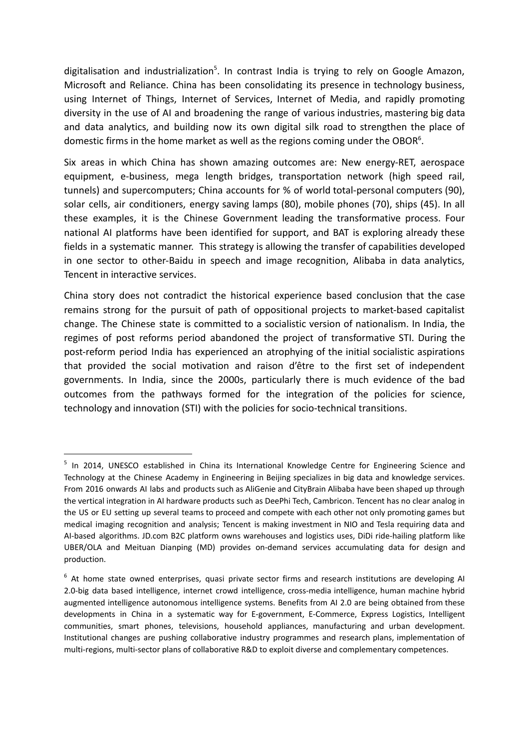digitalisation and industrialization<sup>5</sup>. In contrast India is trying to rely on Google Amazon, Microsoft and Reliance. China has been consolidating its presence in technology business, using Internet of Things, Internet of Services, Internet of Media, and rapidly promoting diversity in the use of AI and broadening the range of various industries, mastering big data and data analytics, and building now its own digital silk road to strengthen the place of domestic firms in the home market as well as the regions coming under the OBOR<sup>6</sup>.

Six areas in which China has shown amazing outcomes are: New energy-RET, aerospace equipment, e-business, mega length bridges, transportation network (high speed rail, tunnels) and supercomputers; China accounts for % of world total-personal computers (90), solar cells, air conditioners, energy saving lamps (80), mobile phones (70), ships (45). In all these examples, it is the Chinese Government leading the transformative process. Four national AI platforms have been identified for support, and BAT is exploring already these fields in a systematic manner. This strategy is allowing the transfer of capabilities developed in one sector to other-Baidu in speech and image recognition, Alibaba in data analytics, Tencent in interactive services.

China story does not contradict the historical experience based conclusion that the case remains strong for the pursuit of path of oppositional projects to market-based capitalist change. The Chinese state is committed to a socialistic version of nationalism. In India, the regimes of post reforms period abandoned the project of transformative STI. During the post-reform period India has experienced an atrophying of the initial socialistic aspirations that provided the social motivation and raison d'être to the first set of independent governments. In India, since the 2000s, particularly there is much evidence of the bad outcomes from the pathways formed for the integration of the policies for science, technology and innovation (STI) with the policies for socio-technical transitions.

<sup>&</sup>lt;sup>5</sup> In 2014, UNESCO established in China its International Knowledge Centre for Engineering Science and Technology at the Chinese Academy in Engineering in Beijing specializes in big data and knowledge services. From 2016 onwards AI labs and products such as AliGenie and CityBrain Alibaba have been shaped up through the vertical integration in AI hardware products such as DeePhi Tech, Cambricon. Tencent has no clear analog in the US or EU setting up several teams to proceed and compete with each other not only promoting games but medical imaging recognition and analysis; Tencent is making investment in NIO and Tesla requiring data and AI-based algorithms. JD.com B2C platform owns warehouses and logistics uses, DiDi ride-hailing platform like UBER/OLA and Meituan Dianping (MD) provides on-demand services accumulating data for design and production.

<sup>&</sup>lt;sup>6</sup> At home state owned enterprises, quasi private sector firms and research institutions are developing AI 2.0-big data based intelligence, internet crowd intelligence, cross-media intelligence, human machine hybrid augmented intelligence autonomous intelligence systems. Benefits from AI 2.0 are being obtained from these developments in China in a systematic way for E-government, E-Commerce, Express Logistics, Intelligent communities, smart phones, televisions, household appliances, manufacturing and urban development. Institutional changes are pushing collaborative industry programmes and research plans, implementation of multi-regions, multi-sector plans of collaborative R&D to exploit diverse and complementary competences.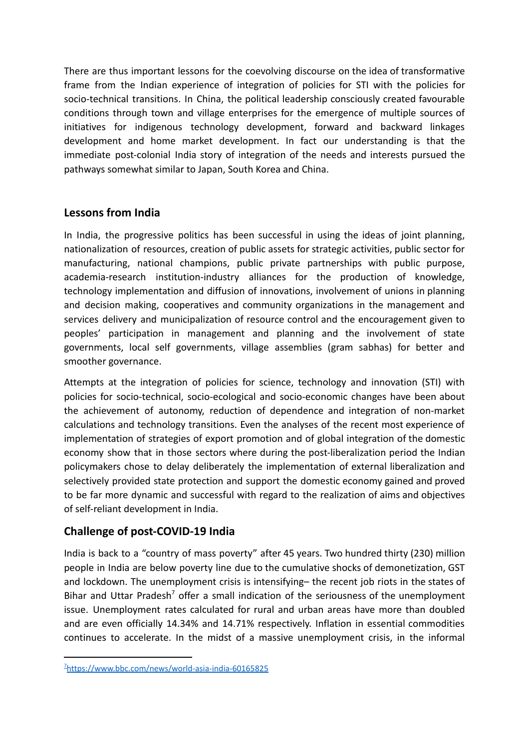There are thus important lessons for the coevolving discourse on the idea of transformative frame from the Indian experience of integration of policies for STI with the policies for socio-technical transitions. In China, the political leadership consciously created favourable conditions through town and village enterprises for the emergence of multiple sources of initiatives for indigenous technology development, forward and backward linkages development and home market development. In fact our understanding is that the immediate post-colonial India story of integration of the needs and interests pursued the pathways somewhat similar to Japan, South Korea and China.

# **Lessons from India**

In India, the progressive politics has been successful in using the ideas of joint planning, nationalization of resources, creation of public assets for strategic activities, public sector for manufacturing, national champions, public private partnerships with public purpose, academia-research institution-industry alliances for the production of knowledge, technology implementation and diffusion of innovations, involvement of unions in planning and decision making, cooperatives and community organizations in the management and services delivery and municipalization of resource control and the encouragement given to peoples' participation in management and planning and the involvement of state governments, local self governments, village assemblies (gram sabhas) for better and smoother governance.

Attempts at the integration of policies for science, technology and innovation (STI) with policies for socio-technical, socio-ecological and socio-economic changes have been about the achievement of autonomy, reduction of dependence and integration of non-market calculations and technology transitions. Even the analyses of the recent most experience of implementation of strategies of export promotion and of global integration of the domestic economy show that in those sectors where during the post-liberalization period the Indian policymakers chose to delay deliberately the implementation of external liberalization and selectively provided state protection and support the domestic economy gained and proved to be far more dynamic and successful with regard to the realization of aims and objectives of self-reliant development in India.

# **Challenge of post-COVID-19 India**

India is back to a "country of mass poverty" after 45 years. Two hundred thirty (230) million people in India are below poverty line due to the cumulative shocks of demonetization, GST and lockdown. The unemployment crisis is intensifying– the recent job riots in the states of Bihar and Uttar Pradesh<sup>7</sup> offer a small indication of the seriousness of the unemployment issue. Unemployment rates calculated for rural and urban areas have more than doubled and are even officially 14.34% and 14.71% respectively. Inflation in essential commodities continues to accelerate. In the midst of a massive unemployment crisis, in the informal

<sup>7</sup><https://www.bbc.com/news/world-asia-india-60165825>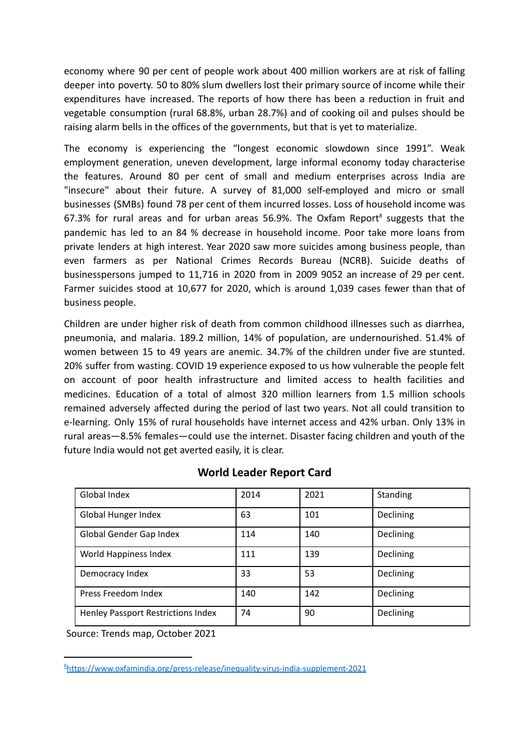economy where 90 per cent of people work about 400 million workers are at risk of falling deeper into poverty. 50 to 80% slum dwellers lost their primary source of income while their expenditures have increased. The reports of how there has been a reduction in fruit and vegetable consumption (rural 68.8%, urban 28.7%) and of cooking oil and pulses should be raising alarm bells in the offices of the governments, but that is yet to materialize.

The economy is experiencing the "longest economic slowdown since 1991". Weak employment generation, uneven development, large informal economy today characterise the features. Around 80 per cent of small and medium enterprises across India are "insecure" about their future. A survey of 81,000 self-employed and micro or small businesses (SMBs) found 78 per cent of them incurred losses. Loss of household income was 67.3% for rural areas and for urban areas 56.9%. The Oxfam Report $^8$  suggests that the pandemic has led to an 84 % decrease in household income. Poor take more loans from private lenders at high interest. Year 2020 saw more suicides among business people, than even farmers as per National Crimes Records Bureau (NCRB). Suicide deaths of businesspersons jumped to 11,716 in 2020 from in 2009 9052 an increase of 29 per cent. Farmer suicides stood at 10,677 for 2020, which is around 1,039 cases fewer than that of business people.

Children are under higher risk of death from common childhood illnesses such as diarrhea, pneumonia, and malaria. 189.2 million, 14% of population, are undernourished. 51.4% of women between 15 to 49 years are anemic. 34.7% of the children under five are stunted. 20% suffer from wasting. COVID 19 experience exposed to us how vulnerable the people felt on account of poor health infrastructure and limited access to health facilities and medicines. Education of a total of almost 320 million learners from 1.5 million schools remained adversely affected during the period of last two years. Not all could transition to e-learning. Only 15% of rural households have internet access and 42% urban. Only 13% in rural areas—8.5% females—could use the internet. Disaster facing children and youth of the future India would not get averted easily, it is clear.

| Global Index                       | 2014 | 2021 | Standing  |
|------------------------------------|------|------|-----------|
| Global Hunger Index                | 63   | 101  | Declining |
| Global Gender Gap Index            | 114  | 140  | Declining |
| World Happiness Index              | 111  | 139  | Declining |
| Democracy Index                    | 33   | 53   | Declining |
| Press Freedom Index                | 140  | 142  | Declining |
| Henley Passport Restrictions Index | 74   | 90   | Declining |

### **World Leader Report Card**

Source: Trends map, October 2021

<sup>8</sup><https://www.oxfamindia.org/press-release/inequality-virus-india-supplement-2021>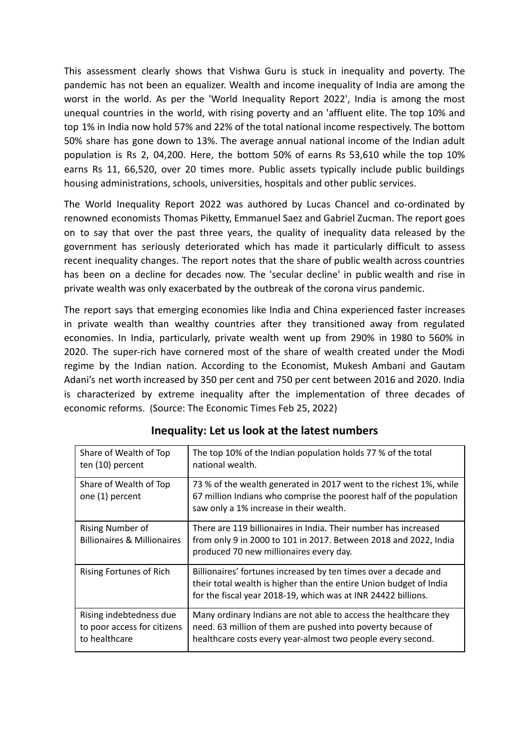This assessment clearly shows that Vishwa Guru is stuck in inequality and poverty. The pandemic has not been an equalizer. Wealth and income inequality of India are among the worst in the world. As per the 'World Inequality Report 2022', India is among the most unequal countries in the world, with rising poverty and an 'affluent elite. The top 10% and top 1% in India now hold 57% and 22% of the total national income respectively. The bottom 50% share has gone down to 13%. The average annual national income of the Indian adult population is Rs 2, 04,200. Here, the bottom 50% of earns Rs 53,610 while the top 10% earns Rs 11, 66,520, over 20 times more. Public assets typically include public buildings housing administrations, schools, universities, hospitals and other public services.

The World Inequality Report 2022 was authored by Lucas Chancel and co-ordinated by renowned economists Thomas Piketty, Emmanuel Saez and Gabriel Zucman. The report goes on to say that over the past three years, the quality of inequality data released by the government has seriously deteriorated which has made it particularly difficult to assess recent inequality changes. The report notes that the share of public wealth across countries has been on a decline for decades now. The 'secular decline' in public wealth and rise in private wealth was only exacerbated by the outbreak of the corona virus pandemic.

The report says that emerging economies like India and China experienced faster increases in private wealth than wealthy countries after they transitioned away from regulated economies. In India, particularly, private wealth went up from 290% in 1980 to 560% in 2020. The super-rich have cornered most of the share of wealth created under the Modi regime by the Indian nation. According to the Economist, Mukesh Ambani and Gautam Adani's net worth increased by 350 per cent and 750 per cent between 2016 and 2020. India is characterized by extreme inequality after the implementation of three decades of economic reforms. (Source: The Economic Times Feb 25, 2022)

| Share of Wealth of Top<br>ten (10) percent                              | The top 10% of the Indian population holds 77 % of the total<br>national wealth.                                                                                                                       |
|-------------------------------------------------------------------------|--------------------------------------------------------------------------------------------------------------------------------------------------------------------------------------------------------|
| Share of Wealth of Top<br>one (1) percent                               | 73 % of the wealth generated in 2017 went to the richest 1%, while<br>67 million Indians who comprise the poorest half of the population<br>saw only a 1% increase in their wealth.                    |
| <b>Rising Number of</b><br><b>Billionaires &amp; Millionaires</b>       | There are 119 billionaires in India. Their number has increased<br>from only 9 in 2000 to 101 in 2017. Between 2018 and 2022, India<br>produced 70 new millionaires every day.                         |
| Rising Fortunes of Rich                                                 | Billionaires' fortunes increased by ten times over a decade and<br>their total wealth is higher than the entire Union budget of India<br>for the fiscal year 2018-19, which was at INR 24422 billions. |
| Rising indebtedness due<br>to poor access for citizens<br>to healthcare | Many ordinary Indians are not able to access the healthcare they<br>need. 63 million of them are pushed into poverty because of<br>healthcare costs every year-almost two people every second.         |

# **Inequality: Let us look at the latest numbers**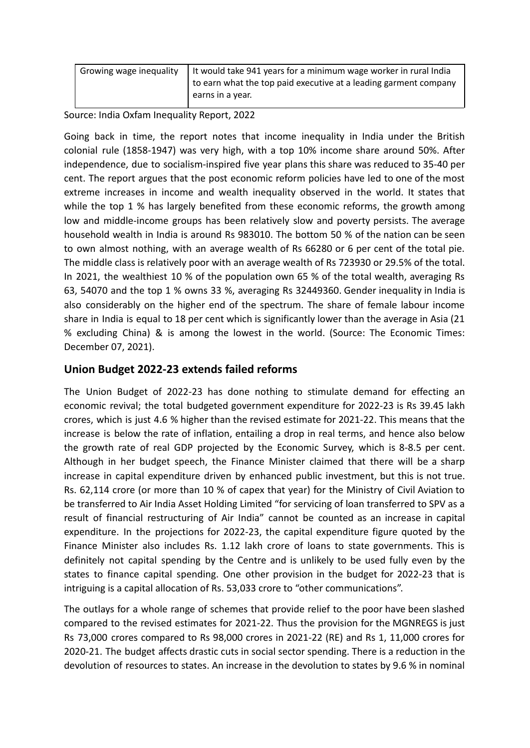| It would take 941 years for a minimum wage worker in rural India<br>Growing wage inequality<br>to earn what the top paid executive at a leading garment company<br>earns in a year. |  |
|-------------------------------------------------------------------------------------------------------------------------------------------------------------------------------------|--|
|-------------------------------------------------------------------------------------------------------------------------------------------------------------------------------------|--|

Source: India Oxfam Inequality Report, 2022

Going back in time, the report notes that income inequality in India under the British colonial rule (1858-1947) was very high, with a top 10% income share around 50%. After independence, due to socialism-inspired five year plans this share was reduced to 35-40 per cent. The report argues that the post economic reform policies have led to one of the most extreme increases in income and wealth inequality observed in the world. It states that while the top 1 % has largely benefited from these economic reforms, the growth among low and middle-income groups has been relatively slow and poverty persists. The average household wealth in India is around Rs 983010. The bottom 50 % of the nation can be seen to own almost nothing, with an average wealth of Rs 66280 or 6 per cent of the total pie. The middle class is relatively poor with an average wealth of Rs 723930 or 29.5% of the total. In 2021, the wealthiest 10 % of the population own 65 % of the total wealth, averaging Rs 63, 54070 and the top 1 % owns 33 %, averaging Rs 32449360. Gender inequality in India is also considerably on the higher end of the spectrum. The share of female labour income share in India is equal to 18 per cent which is significantly lower than the average in Asia (21 % excluding China) & is among the lowest in the world. (Source: The Economic Times: December 07, 2021).

# **Union Budget 2022-23 extends failed reforms**

The Union Budget of 2022-23 has done nothing to stimulate demand for effecting an economic revival; the total budgeted government expenditure for 2022-23 is Rs 39.45 lakh crores, which is just 4.6 % higher than the revised estimate for 2021-22. This means that the increase is below the rate of inflation, entailing a drop in real terms, and hence also below the growth rate of real GDP projected by the Economic Survey, which is 8-8.5 per cent. Although in her budget speech, the Finance Minister claimed that there will be a sharp increase in capital expenditure driven by enhanced public investment, but this is not true. Rs. 62,114 crore (or more than 10 % of capex that year) for the Ministry of Civil Aviation to be transferred to Air India Asset Holding Limited "for servicing of loan transferred to SPV as a result of financial restructuring of Air India" cannot be counted as an increase in capital expenditure. In the projections for 2022-23, the capital expenditure figure quoted by the Finance Minister also includes Rs. 1.12 lakh crore of loans to state governments. This is definitely not capital spending by the Centre and is unlikely to be used fully even by the states to finance capital spending. One other provision in the budget for 2022-23 that is intriguing is a capital allocation of Rs. 53,033 crore to "other communications".

The outlays for a whole range of schemes that provide relief to the poor have been slashed compared to the revised estimates for 2021-22. Thus the provision for the MGNREGS is just Rs 73,000 crores compared to Rs 98,000 crores in 2021-22 (RE) and Rs 1, 11,000 crores for 2020-21. The budget affects drastic cuts in social sector spending. There is a reduction in the devolution of resources to states. An increase in the devolution to states by 9.6 % in nominal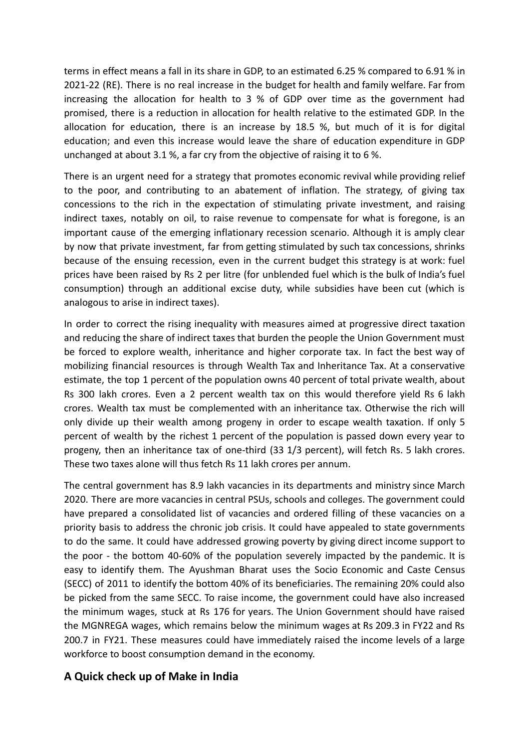terms in effect means a fall in its share in GDP, to an estimated 6.25 % compared to 6.91 % in 2021-22 (RE). There is no real increase in the budget for health and family welfare. Far from increasing the allocation for health to 3 % of GDP over time as the government had promised, there is a reduction in allocation for health relative to the estimated GDP. In the allocation for education, there is an increase by 18.5 %, but much of it is for digital education; and even this increase would leave the share of education expenditure in GDP unchanged at about 3.1 %, a far cry from the objective of raising it to 6 %.

There is an urgent need for a strategy that promotes economic revival while providing relief to the poor, and contributing to an abatement of inflation. The strategy, of giving tax concessions to the rich in the expectation of stimulating private investment, and raising indirect taxes, notably on oil, to raise revenue to compensate for what is foregone, is an important cause of the emerging inflationary recession scenario. Although it is amply clear by now that private investment, far from getting stimulated by such tax concessions, shrinks because of the ensuing recession, even in the current budget this strategy is at work: fuel prices have been raised by Rs 2 per litre (for unblended fuel which is the bulk of India's fuel consumption) through an additional excise duty, while subsidies have been cut (which is analogous to arise in indirect taxes).

In order to correct the rising inequality with measures aimed at progressive direct taxation and reducing the share of indirect taxes that burden the people the Union Government must be forced to explore wealth, inheritance and higher corporate tax. In fact the best way of mobilizing financial resources is through Wealth Tax and Inheritance Tax. At a conservative estimate, the top 1 percent of the population owns 40 percent of total private wealth, about Rs 300 lakh crores. Even a 2 percent wealth tax on this would therefore yield Rs 6 lakh crores. Wealth tax must be complemented with an inheritance tax. Otherwise the rich will only divide up their wealth among progeny in order to escape wealth taxation. If only 5 percent of wealth by the richest 1 percent of the population is passed down every year to progeny, then an inheritance tax of one-third (33 1/3 percent), will fetch Rs. 5 lakh crores. These two taxes alone will thus fetch Rs 11 lakh crores per annum.

The central government has 8.9 lakh vacancies in its departments and ministry since March 2020. There are more vacancies in central PSUs, schools and colleges. The government could have prepared a consolidated list of vacancies and ordered filling of these vacancies on a priority basis to address the chronic job crisis. It could have appealed to state governments to do the same. It could have addressed growing poverty by giving direct income support to the poor - the bottom 40-60% of the population severely impacted by the pandemic. It is easy to identify them. The Ayushman Bharat uses the Socio Economic and Caste Census (SECC) of 2011 to identify the bottom 40% of its beneficiaries. The remaining 20% could also be picked from the same SECC. To raise income, the government could have also increased the minimum wages, stuck at Rs 176 for years. The Union Government should have raised the MGNREGA wages, which remains below the minimum wages at Rs 209.3 in FY22 and Rs 200.7 in FY21. These measures could have immediately raised the income levels of a large workforce to boost consumption demand in the economy.

# **A Quick check up of Make in India**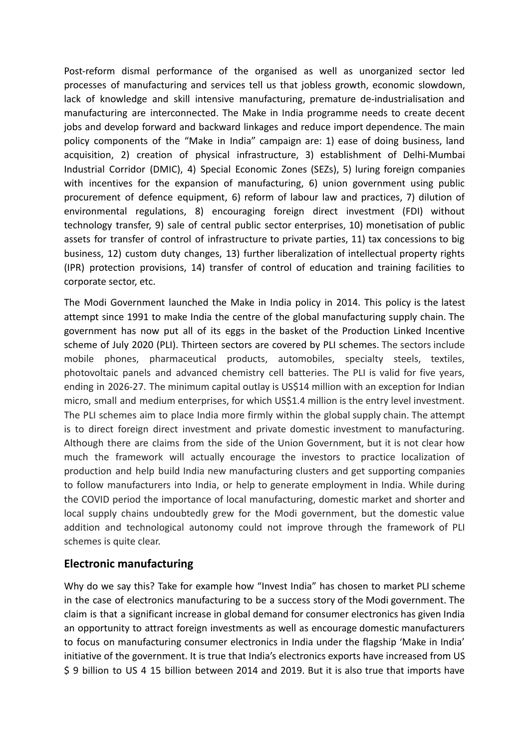Post-reform dismal performance of the organised as well as unorganized sector led processes of manufacturing and services tell us that jobless growth, economic slowdown, lack of knowledge and skill intensive manufacturing, premature de-industrialisation and manufacturing are interconnected. The Make in India programme needs to create decent jobs and develop forward and backward linkages and reduce import dependence. The main policy components of the "Make in India" campaign are: 1) ease of doing business, land acquisition, 2) creation of physical infrastructure, 3) establishment of Delhi-Mumbai Industrial Corridor (DMIC), 4) Special Economic Zones (SEZs), 5) luring foreign companies with incentives for the expansion of manufacturing, 6) union government using public procurement of defence equipment, 6) reform of labour law and practices, 7) dilution of environmental regulations, 8) encouraging foreign direct investment (FDI) without technology transfer, 9) sale of central public sector enterprises, 10) monetisation of public assets for transfer of control of infrastructure to private parties, 11) tax concessions to big business, 12) custom duty changes, 13) further liberalization of intellectual property rights (IPR) protection provisions, 14) transfer of control of education and training facilities to corporate sector, etc.

The Modi Government launched the Make in India policy in 2014. This policy is the latest attempt since 1991 to make India the centre of the global manufacturing supply chain. The government has now put all of its eggs in the basket of the Production Linked Incentive scheme of July 2020 (PLI). Thirteen sectors are covered by PLI schemes. The sectors include mobile phones, pharmaceutical products, automobiles, specialty steels, textiles, photovoltaic panels and advanced chemistry cell batteries. The PLI is valid for five years, ending in 2026-27. The minimum capital outlay is US\$14 million with an exception for Indian micro, small and medium enterprises, for which US\$1.4 million is the entry level investment. The PLI schemes aim to place India more firmly within the global supply chain. The attempt is to direct foreign direct investment and private domestic investment to manufacturing. Although there are claims from the side of the Union Government, but it is not clear how much the framework will actually encourage the investors to practice localization of production and help build India new manufacturing clusters and get supporting companies to follow manufacturers into India, or help to generate employment in India. While during the COVID period the importance of local manufacturing, domestic market and shorter and local supply chains undoubtedly grew for the Modi government, but the domestic value addition and technological autonomy could not improve through the framework of PLI schemes is quite clear.

# **Electronic manufacturing**

Why do we say this? Take for example how "Invest India" has chosen to market PLI scheme in the case of electronics manufacturing to be a success story of the Modi government. The claim is that a significant increase in global demand for consumer electronics has given India an opportunity to attract foreign investments as well as encourage domestic manufacturers to focus on manufacturing consumer electronics in India under the flagship 'Make in India' initiative of the government. It is true that India's electronics exports have increased from US \$ 9 billion to US 4 15 billion between 2014 and 2019. But it is also true that imports have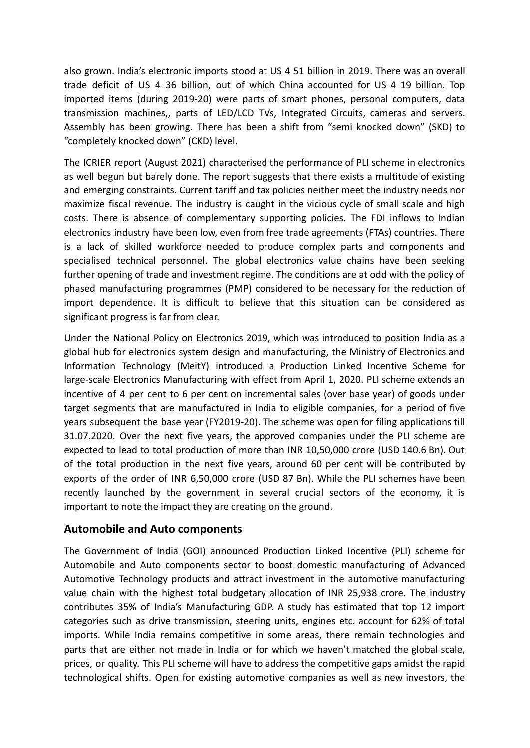also grown. India's electronic imports stood at US 4 51 billion in 2019. There was an overall trade deficit of US 4 36 billion, out of which China accounted for US 4 19 billion. Top imported items (during 2019-20) were parts of smart phones, personal computers, data transmission machines,, parts of LED/LCD TVs, Integrated Circuits, cameras and servers. Assembly has been growing. There has been a shift from "semi knocked down" (SKD) to "completely knocked down" (CKD) level.

The ICRIER report (August 2021) characterised the performance of PLI scheme in electronics as well begun but barely done. The report suggests that there exists a multitude of existing and emerging constraints. Current tariff and tax policies neither meet the industry needs nor maximize fiscal revenue. The industry is caught in the vicious cycle of small scale and high costs. There is absence of complementary supporting policies. The FDI inflows to Indian electronics industry have been low, even from free trade agreements (FTAs) countries. There is a lack of skilled workforce needed to produce complex parts and components and specialised technical personnel. The global electronics value chains have been seeking further opening of trade and investment regime. The conditions are at odd with the policy of phased manufacturing programmes (PMP) considered to be necessary for the reduction of import dependence. It is difficult to believe that this situation can be considered as significant progress is far from clear.

Under the National Policy on Electronics 2019, which was introduced to position India as a global hub for electronics system design and manufacturing, the Ministry of Electronics and Information Technology (MeitY) introduced a Production Linked Incentive Scheme for large-scale Electronics Manufacturing with effect from April 1, 2020. PLI scheme extends an incentive of 4 per cent to 6 per cent on incremental sales (over base year) of goods under target segments that are manufactured in India to eligible companies, for a period of five years subsequent the base year (FY2019-20). The scheme was open for filing applications till 31.07.2020. Over the next five years, the approved companies under the PLI scheme are expected to lead to total production of more than INR 10,50,000 crore (USD 140.6 Bn). Out of the total production in the next five years, around 60 per cent will be contributed by exports of the order of INR 6,50,000 crore (USD 87 Bn). While the PLI schemes have been recently launched by the government in several crucial sectors of the economy, it is important to note the impact they are creating on the ground.

### **Automobile and Auto components**

The Government of India (GOI) announced Production Linked Incentive (PLI) scheme for Automobile and Auto components sector to boost domestic manufacturing of Advanced Automotive Technology products and attract investment in the automotive manufacturing value chain with the highest total budgetary allocation of INR 25,938 crore. The industry contributes 35% of India's Manufacturing GDP. A study has estimated that top 12 import categories such as drive transmission, steering units, engines etc. account for 62% of total imports. While India remains competitive in some areas, there remain technologies and parts that are either not made in India or for which we haven't matched the global scale, prices, or quality. This PLI scheme will have to address the competitive gaps amidst the rapid technological shifts. Open for existing automotive companies as well as new investors, the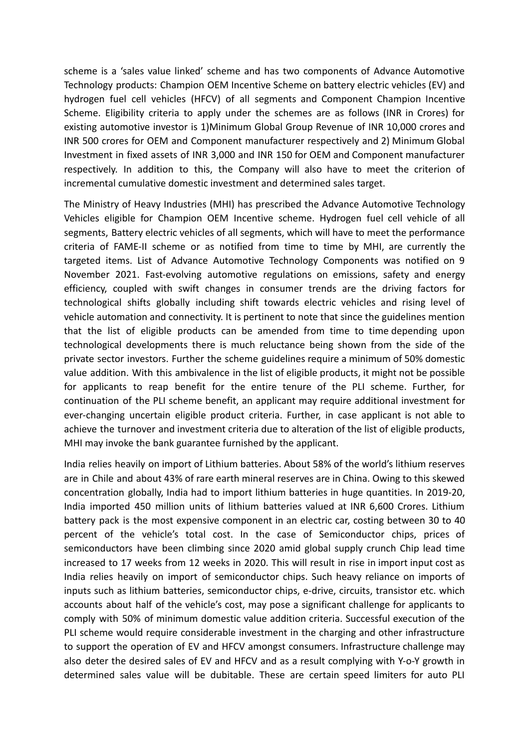scheme is a 'sales value linked' scheme and has two components of Advance Automotive Technology products: Champion OEM Incentive Scheme on battery electric vehicles (EV) and hydrogen fuel cell vehicles (HFCV) of all segments and Component Champion Incentive Scheme. Eligibility criteria to apply under the schemes are as follows (INR in Crores) for existing automotive investor is 1)Minimum Global Group Revenue of INR 10,000 crores and INR 500 crores for OEM and Component manufacturer respectively and 2) Minimum Global Investment in fixed assets of INR 3,000 and INR 150 for OEM and Component manufacturer respectively. In addition to this, the Company will also have to meet the criterion of incremental cumulative domestic investment and determined sales target.

The Ministry of Heavy Industries (MHI) has prescribed the Advance Automotive Technology Vehicles eligible for Champion OEM Incentive scheme. Hydrogen fuel cell vehicle of all segments, Battery electric vehicles of all segments, which will have to meet the performance criteria of FAME-II scheme or as notified from time to time by MHI, are currently the targeted items. List of Advance Automotive Technology Components was notified on 9 November 2021. Fast-evolving automotive regulations on emissions, safety and energy efficiency, coupled with swift changes in consumer trends are the driving factors for technological shifts globally including shift towards electric vehicles and rising level of vehicle automation and connectivity. It is pertinent to note that since the guidelines mention that the list of eligible products can be amended from time to time depending upon technological developments there is much reluctance being shown from the side of the private sector investors. Further the scheme guidelines require a minimum of 50% domestic value addition. With this ambivalence in the list of eligible products, it might not be possible for applicants to reap benefit for the entire tenure of the PLI scheme. Further, for continuation of the PLI scheme benefit, an applicant may require additional investment for ever-changing uncertain eligible product criteria. Further, in case applicant is not able to achieve the turnover and investment criteria due to alteration of the list of eligible products, MHI may invoke the bank guarantee furnished by the applicant.

India relies heavily on import of Lithium batteries. About 58% of the world's lithium reserves are in Chile and about 43% of rare earth mineral reserves are in China. Owing to this skewed concentration globally, India had to import lithium batteries in huge quantities. In 2019-20, India imported 450 million units of lithium batteries valued at INR 6,600 Crores. Lithium battery pack is the most expensive component in an electric car, costing between 30 to 40 percent of the vehicle's total cost. In the case of Semiconductor chips, prices of semiconductors have been climbing since 2020 amid global supply crunch Chip lead time increased to 17 weeks from 12 weeks in 2020. This will result in rise in import input cost as India relies heavily on import of semiconductor chips. Such heavy reliance on imports of inputs such as lithium batteries, semiconductor chips, e-drive, circuits, transistor etc. which accounts about half of the vehicle's cost, may pose a significant challenge for applicants to comply with 50% of minimum domestic value addition criteria. Successful execution of the PLI scheme would require considerable investment in the charging and other infrastructure to support the operation of EV and HFCV amongst consumers. Infrastructure challenge may also deter the desired sales of EV and HFCV and as a result complying with Y-o-Y growth in determined sales value will be dubitable. These are certain speed limiters for auto PLI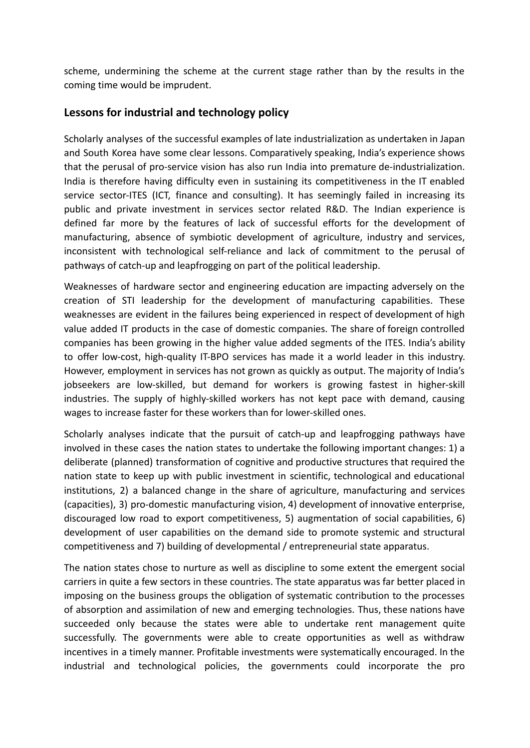scheme, undermining the scheme at the current stage rather than by the results in the coming time would be imprudent.

# **Lessons for industrial and technology policy**

Scholarly analyses of the successful examples of late industrialization as undertaken in Japan and South Korea have some clear lessons. Comparatively speaking, India's experience shows that the perusal of pro-service vision has also run India into premature de-industrialization. India is therefore having difficulty even in sustaining its competitiveness in the IT enabled service sector-ITES (ICT, finance and consulting). It has seemingly failed in increasing its public and private investment in services sector related R&D. The Indian experience is defined far more by the features of lack of successful efforts for the development of manufacturing, absence of symbiotic development of agriculture, industry and services, inconsistent with technological self-reliance and lack of commitment to the perusal of pathways of catch-up and leapfrogging on part of the political leadership.

Weaknesses of hardware sector and engineering education are impacting adversely on the creation of STI leadership for the development of manufacturing capabilities. These weaknesses are evident in the failures being experienced in respect of development of high value added IT products in the case of domestic companies. The share of foreign controlled companies has been growing in the higher value added segments of the ITES. India's ability to offer low-cost, high-quality IT-BPO services has made it a world leader in this industry. However, employment in services has not grown as quickly as output. The majority of India's jobseekers are low-skilled, but demand for workers is growing fastest in higher-skill industries. The supply of highly-skilled workers has not kept pace with demand, causing wages to increase faster for these workers than for lower-skilled ones.

Scholarly analyses indicate that the pursuit of catch-up and leapfrogging pathways have involved in these cases the nation states to undertake the following important changes: 1) a deliberate (planned) transformation of cognitive and productive structures that required the nation state to keep up with public investment in scientific, technological and educational institutions, 2) a balanced change in the share of agriculture, manufacturing and services (capacities), 3) pro-domestic manufacturing vision, 4) development of innovative enterprise, discouraged low road to export competitiveness, 5) augmentation of social capabilities, 6) development of user capabilities on the demand side to promote systemic and structural competitiveness and 7) building of developmental / entrepreneurial state apparatus.

The nation states chose to nurture as well as discipline to some extent the emergent social carriers in quite a few sectors in these countries. The state apparatus was far better placed in imposing on the business groups the obligation of systematic contribution to the processes of absorption and assimilation of new and emerging technologies. Thus, these nations have succeeded only because the states were able to undertake rent management quite successfully. The governments were able to create opportunities as well as withdraw incentives in a timely manner. Profitable investments were systematically encouraged. In the industrial and technological policies, the governments could incorporate the pro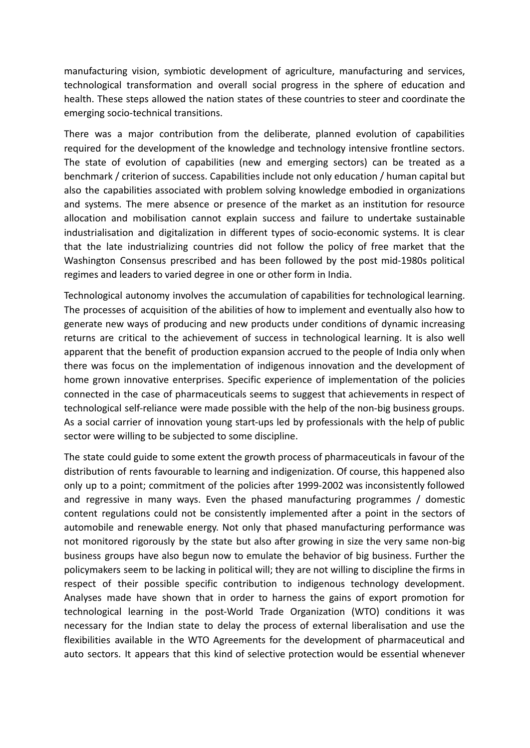manufacturing vision, symbiotic development of agriculture, manufacturing and services, technological transformation and overall social progress in the sphere of education and health. These steps allowed the nation states of these countries to steer and coordinate the emerging socio-technical transitions.

There was a major contribution from the deliberate, planned evolution of capabilities required for the development of the knowledge and technology intensive frontline sectors. The state of evolution of capabilities (new and emerging sectors) can be treated as a benchmark / criterion of success. Capabilities include not only education / human capital but also the capabilities associated with problem solving knowledge embodied in organizations and systems. The mere absence or presence of the market as an institution for resource allocation and mobilisation cannot explain success and failure to undertake sustainable industrialisation and digitalization in different types of socio-economic systems. It is clear that the late industrializing countries did not follow the policy of free market that the Washington Consensus prescribed and has been followed by the post mid-1980s political regimes and leaders to varied degree in one or other form in India.

Technological autonomy involves the accumulation of capabilities for technological learning. The processes of acquisition of the abilities of how to implement and eventually also how to generate new ways of producing and new products under conditions of dynamic increasing returns are critical to the achievement of success in technological learning. It is also well apparent that the benefit of production expansion accrued to the people of India only when there was focus on the implementation of indigenous innovation and the development of home grown innovative enterprises. Specific experience of implementation of the policies connected in the case of pharmaceuticals seems to suggest that achievements in respect of technological self-reliance were made possible with the help of the non-big business groups. As a social carrier of innovation young start-ups led by professionals with the help of public sector were willing to be subjected to some discipline.

The state could guide to some extent the growth process of pharmaceuticals in favour of the distribution of rents favourable to learning and indigenization. Of course, this happened also only up to a point; commitment of the policies after 1999-2002 was inconsistently followed and regressive in many ways. Even the phased manufacturing programmes / domestic content regulations could not be consistently implemented after a point in the sectors of automobile and renewable energy. Not only that phased manufacturing performance was not monitored rigorously by the state but also after growing in size the very same non-big business groups have also begun now to emulate the behavior of big business. Further the policymakers seem to be lacking in political will; they are not willing to discipline the firms in respect of their possible specific contribution to indigenous technology development. Analyses made have shown that in order to harness the gains of export promotion for technological learning in the post-World Trade Organization (WTO) conditions it was necessary for the Indian state to delay the process of external liberalisation and use the flexibilities available in the WTO Agreements for the development of pharmaceutical and auto sectors. It appears that this kind of selective protection would be essential whenever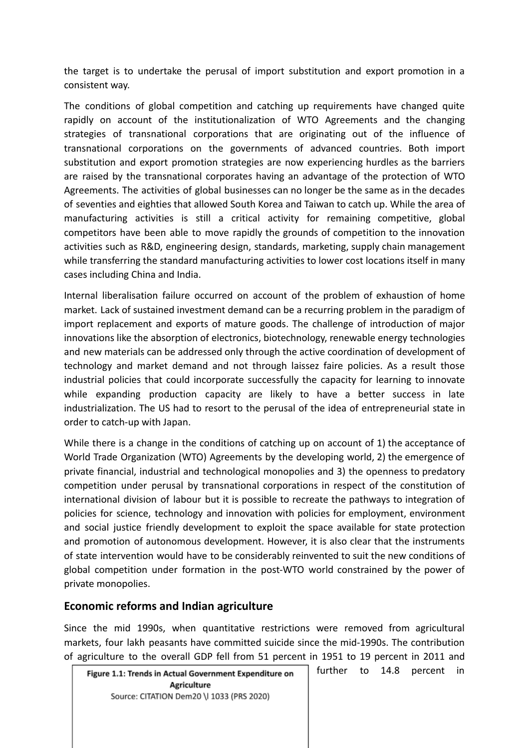the target is to undertake the perusal of import substitution and export promotion in a consistent way.

The conditions of global competition and catching up requirements have changed quite rapidly on account of the institutionalization of WTO Agreements and the changing strategies of transnational corporations that are originating out of the influence of transnational corporations on the governments of advanced countries. Both import substitution and export promotion strategies are now experiencing hurdles as the barriers are raised by the transnational corporates having an advantage of the protection of WTO Agreements. The activities of global businesses can no longer be the same as in the decades of seventies and eighties that allowed South Korea and Taiwan to catch up. While the area of manufacturing activities is still a critical activity for remaining competitive, global competitors have been able to move rapidly the grounds of competition to the innovation activities such as R&D, engineering design, standards, marketing, supply chain management while transferring the standard manufacturing activities to lower cost locations itself in many cases including China and India.

Internal liberalisation failure occurred on account of the problem of exhaustion of home market. Lack of sustained investment demand can be a recurring problem in the paradigm of import replacement and exports of mature goods. The challenge of introduction of major innovations like the absorption of electronics, biotechnology, renewable energy technologies and new materials can be addressed only through the active coordination of development of technology and market demand and not through laissez faire policies. As a result those industrial policies that could incorporate successfully the capacity for learning to innovate while expanding production capacity are likely to have a better success in late industrialization. The US had to resort to the perusal of the idea of entrepreneurial state in order to catch-up with Japan.

While there is a change in the conditions of catching up on account of 1) the acceptance of World Trade Organization (WTO) Agreements by the developing world, 2) the emergence of private financial, industrial and technological monopolies and 3) the openness to predatory competition under perusal by transnational corporations in respect of the constitution of international division of labour but it is possible to recreate the pathways to integration of policies for science, technology and innovation with policies for employment, environment and social justice friendly development to exploit the space available for state protection and promotion of autonomous development. However, it is also clear that the instruments of state intervention would have to be considerably reinvented to suit the new conditions of global competition under formation in the post-WTO world constrained by the power of private monopolies.

# **Economic reforms and Indian agriculture**

Since the mid 1990s, when quantitative restrictions were removed from agricultural markets, four lakh peasants have committed suicide since the mid-1990s. The contribution of agriculture to the overall GDP fell from 51 percent in 1951 to 19 percent in 2011 and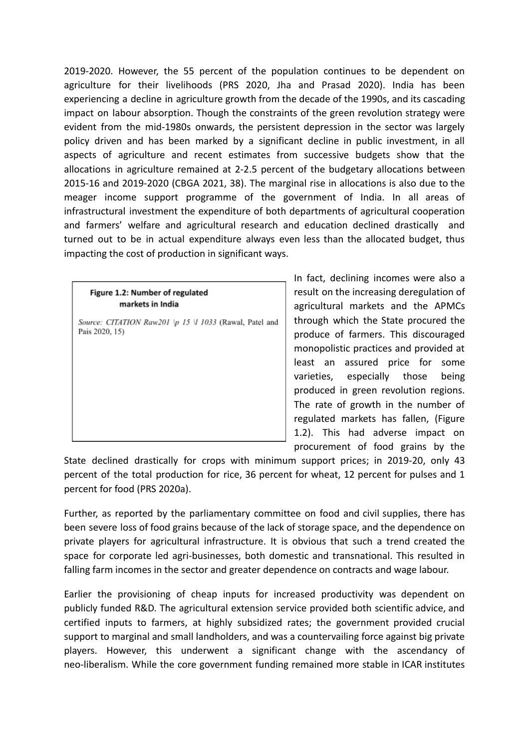2019-2020. However, the 55 percent of the population continues to be dependent on agriculture for their livelihoods (PRS 2020, Jha and Prasad 2020). India has been experiencing a decline in agriculture growth from the decade of the 1990s, and its cascading impact on labour absorption. Though the constraints of the green revolution strategy were evident from the mid-1980s onwards, the persistent depression in the sector was largely policy driven and has been marked by a significant decline in public investment, in all aspects of agriculture and recent estimates from successive budgets show that the allocations in agriculture remained at 2-2.5 percent of the budgetary allocations between 2015-16 and 2019-2020 (CBGA 2021, 38). The marginal rise in allocations is also due to the meager income support programme of the government of India. In all areas of infrastructural investment the expenditure of both departments of agricultural cooperation and farmers' welfare and agricultural research and education declined drastically and turned out to be in actual expenditure always even less than the allocated budget, thus impacting the cost of production in significant ways.

|                                                         | Ш |
|---------------------------------------------------------|---|
| Figure 1.2: Number of regulated                         |   |
| markets in India                                        | a |
| Source: CITATION Raw201 \p 15 \l 1033 (Rawal, Patel and | t |
| Pais 2020, 15)                                          | ŗ |
|                                                         | r |
|                                                         | k |
|                                                         | ν |
|                                                         | ŗ |
|                                                         | T |
|                                                         | r |
|                                                         | 1 |
|                                                         | ŗ |

In fact, declining incomes were also a result on the increasing deregulation of agricultural markets and the APMCs hrough which the State procured the produce of farmers. This discouraged monopolistic practices and provided at east an assured price for some varieties, especially those being produced in green revolution regions. The rate of growth in the number of regulated markets has fallen, (Figure 1.2). This had adverse impact on procurement of food grains by the

State declined drastically for crops with minimum support prices; in 2019-20, only 43 percent of the total production for rice, 36 percent for wheat, 12 percent for pulses and 1 percent for food (PRS 2020a).

Further, as reported by the parliamentary committee on food and civil supplies, there has been severe loss of food grains because of the lack of storage space, and the dependence on private players for agricultural infrastructure. It is obvious that such a trend created the space for corporate led agri-businesses, both domestic and transnational. This resulted in falling farm incomes in the sector and greater dependence on contracts and wage labour.

Earlier the provisioning of cheap inputs for increased productivity was dependent on publicly funded R&D. The agricultural extension service provided both scientific advice, and certified inputs to farmers, at highly subsidized rates; the government provided crucial support to marginal and small landholders, and was a countervailing force against big private players. However, this underwent a significant change with the ascendancy of neo-liberalism. While the core government funding remained more stable in ICAR institutes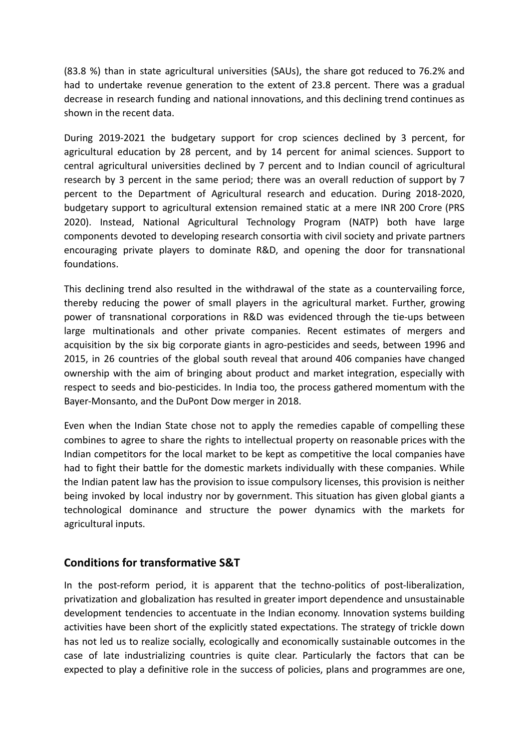(83.8 %) than in state agricultural universities (SAUs), the share got reduced to 76.2% and had to undertake revenue generation to the extent of 23.8 percent. There was a gradual decrease in research funding and national innovations, and this declining trend continues as shown in the recent data.

During 2019-2021 the budgetary support for crop sciences declined by 3 percent, for agricultural education by 28 percent, and by 14 percent for animal sciences. Support to central agricultural universities declined by 7 percent and to Indian council of agricultural research by 3 percent in the same period; there was an overall reduction of support by 7 percent to the Department of Agricultural research and education. During 2018-2020, budgetary support to agricultural extension remained static at a mere INR 200 Crore (PRS 2020). Instead, National Agricultural Technology Program (NATP) both have large components devoted to developing research consortia with civil society and private partners encouraging private players to dominate R&D, and opening the door for transnational foundations.

This declining trend also resulted in the withdrawal of the state as a countervailing force, thereby reducing the power of small players in the agricultural market. Further, growing power of transnational corporations in R&D was evidenced through the tie-ups between large multinationals and other private companies. Recent estimates of mergers and acquisition by the six big corporate giants in agro-pesticides and seeds, between 1996 and 2015, in 26 countries of the global south reveal that around 406 companies have changed ownership with the aim of bringing about product and market integration, especially with respect to seeds and bio-pesticides. In India too, the process gathered momentum with the Bayer-Monsanto, and the DuPont Dow merger in 2018.

Even when the Indian State chose not to apply the remedies capable of compelling these combines to agree to share the rights to intellectual property on reasonable prices with the Indian competitors for the local market to be kept as competitive the local companies have had to fight their battle for the domestic markets individually with these companies. While the Indian patent law has the provision to issue compulsory licenses, this provision is neither being invoked by local industry nor by government. This situation has given global giants a technological dominance and structure the power dynamics with the markets for agricultural inputs.

### **Conditions for transformative S&T**

In the post-reform period, it is apparent that the techno-politics of post-liberalization, privatization and globalization has resulted in greater import dependence and unsustainable development tendencies to accentuate in the Indian economy. Innovation systems building activities have been short of the explicitly stated expectations. The strategy of trickle down has not led us to realize socially, ecologically and economically sustainable outcomes in the case of late industrializing countries is quite clear. Particularly the factors that can be expected to play a definitive role in the success of policies, plans and programmes are one,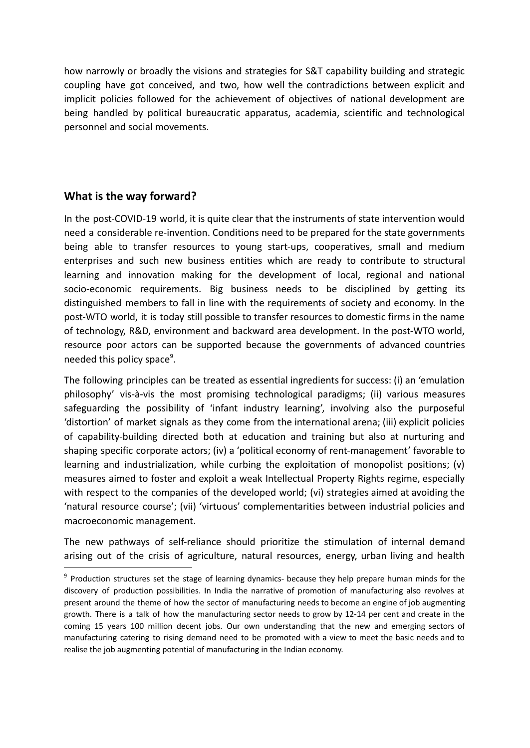how narrowly or broadly the visions and strategies for S&T capability building and strategic coupling have got conceived, and two, how well the contradictions between explicit and implicit policies followed for the achievement of objectives of national development are being handled by political bureaucratic apparatus, academia, scientific and technological personnel and social movements.

# **What is the way forward?**

In the post-COVID-19 world, it is quite clear that the instruments of state intervention would need a considerable re-invention. Conditions need to be prepared for the state governments being able to transfer resources to young start-ups, cooperatives, small and medium enterprises and such new business entities which are ready to contribute to structural learning and innovation making for the development of local, regional and national socio-economic requirements. Big business needs to be disciplined by getting its distinguished members to fall in line with the requirements of society and economy. In the post-WTO world, it is today still possible to transfer resources to domestic firms in the name of technology, R&D, environment and backward area development. In the post-WTO world, resource poor actors can be supported because the governments of advanced countries needed this policy space<sup>9</sup>.

The following principles can be treated as essential ingredients for success: (i) an 'emulation philosophy' vis-à-vis the most promising technological paradigms; (ii) various measures safeguarding the possibility of 'infant industry learning', involving also the purposeful 'distortion' of market signals as they come from the international arena; (iii) explicit policies of capability-building directed both at education and training but also at nurturing and shaping specific corporate actors; (iv) a 'political economy of rent-management' favorable to learning and industrialization, while curbing the exploitation of monopolist positions; (v) measures aimed to foster and exploit a weak Intellectual Property Rights regime, especially with respect to the companies of the developed world; (vi) strategies aimed at avoiding the 'natural resource course'; (vii) 'virtuous' complementarities between industrial policies and macroeconomic management.

The new pathways of self-reliance should prioritize the stimulation of internal demand arising out of the crisis of agriculture, natural resources, energy, urban living and health

<sup>&</sup>lt;sup>9</sup> Production structures set the stage of learning dynamics- because they help prepare human minds for the discovery of production possibilities. In India the narrative of promotion of manufacturing also revolves at present around the theme of how the sector of manufacturing needs to become an engine of job augmenting growth. There is a talk of how the manufacturing sector needs to grow by 12-14 per cent and create in the coming 15 years 100 million decent jobs. Our own understanding that the new and emerging sectors of manufacturing catering to rising demand need to be promoted with a view to meet the basic needs and to realise the job augmenting potential of manufacturing in the Indian economy.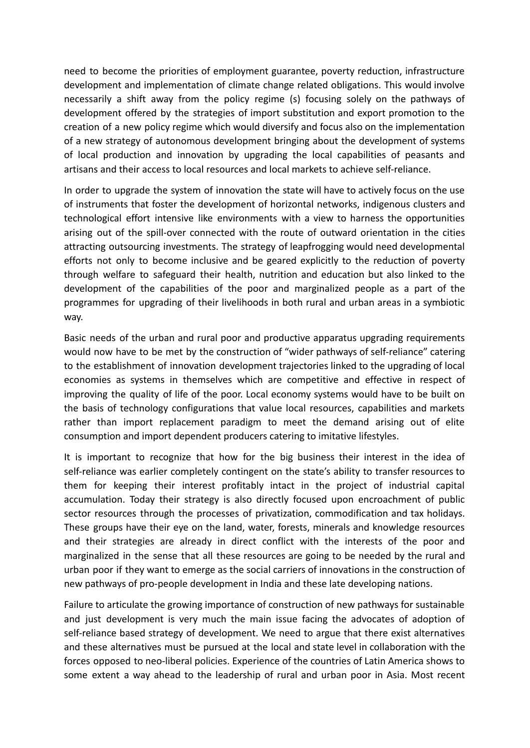need to become the priorities of employment guarantee, poverty reduction, infrastructure development and implementation of climate change related obligations. This would involve necessarily a shift away from the policy regime (s) focusing solely on the pathways of development offered by the strategies of import substitution and export promotion to the creation of a new policy regime which would diversify and focus also on the implementation of a new strategy of autonomous development bringing about the development of systems of local production and innovation by upgrading the local capabilities of peasants and artisans and their access to local resources and local markets to achieve self-reliance.

In order to upgrade the system of innovation the state will have to actively focus on the use of instruments that foster the development of horizontal networks, indigenous clusters and technological effort intensive like environments with a view to harness the opportunities arising out of the spill-over connected with the route of outward orientation in the cities attracting outsourcing investments. The strategy of leapfrogging would need developmental efforts not only to become inclusive and be geared explicitly to the reduction of poverty through welfare to safeguard their health, nutrition and education but also linked to the development of the capabilities of the poor and marginalized people as a part of the programmes for upgrading of their livelihoods in both rural and urban areas in a symbiotic way.

Basic needs of the urban and rural poor and productive apparatus upgrading requirements would now have to be met by the construction of "wider pathways of self-reliance" catering to the establishment of innovation development trajectories linked to the upgrading of local economies as systems in themselves which are competitive and effective in respect of improving the quality of life of the poor. Local economy systems would have to be built on the basis of technology configurations that value local resources, capabilities and markets rather than import replacement paradigm to meet the demand arising out of elite consumption and import dependent producers catering to imitative lifestyles.

It is important to recognize that how for the big business their interest in the idea of self-reliance was earlier completely contingent on the state's ability to transfer resources to them for keeping their interest profitably intact in the project of industrial capital accumulation. Today their strategy is also directly focused upon encroachment of public sector resources through the processes of privatization, commodification and tax holidays. These groups have their eye on the land, water, forests, minerals and knowledge resources and their strategies are already in direct conflict with the interests of the poor and marginalized in the sense that all these resources are going to be needed by the rural and urban poor if they want to emerge as the social carriers of innovations in the construction of new pathways of pro-people development in India and these late developing nations.

Failure to articulate the growing importance of construction of new pathways for sustainable and just development is very much the main issue facing the advocates of adoption of self-reliance based strategy of development. We need to argue that there exist alternatives and these alternatives must be pursued at the local and state level in collaboration with the forces opposed to neo-liberal policies. Experience of the countries of Latin America shows to some extent a way ahead to the leadership of rural and urban poor in Asia. Most recent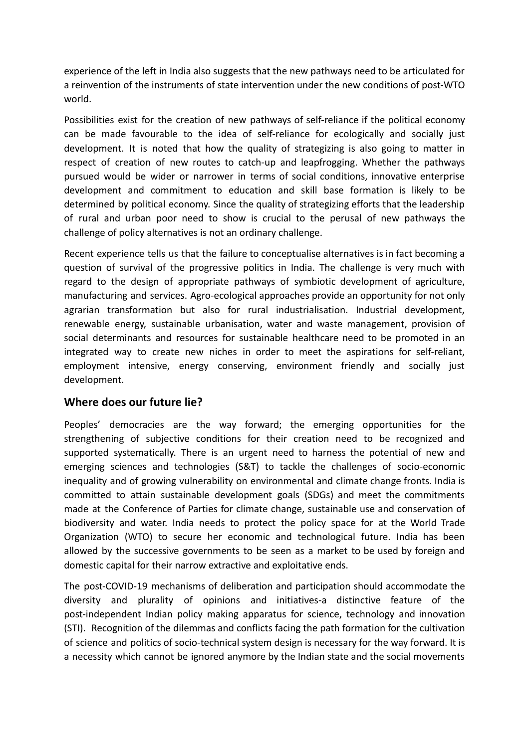experience of the left in India also suggests that the new pathways need to be articulated for a reinvention of the instruments of state intervention under the new conditions of post-WTO world.

Possibilities exist for the creation of new pathways of self-reliance if the political economy can be made favourable to the idea of self-reliance for ecologically and socially just development. It is noted that how the quality of strategizing is also going to matter in respect of creation of new routes to catch-up and leapfrogging. Whether the pathways pursued would be wider or narrower in terms of social conditions, innovative enterprise development and commitment to education and skill base formation is likely to be determined by political economy. Since the quality of strategizing efforts that the leadership of rural and urban poor need to show is crucial to the perusal of new pathways the challenge of policy alternatives is not an ordinary challenge.

Recent experience tells us that the failure to conceptualise alternatives is in fact becoming a question of survival of the progressive politics in India. The challenge is very much with regard to the design of appropriate pathways of symbiotic development of agriculture, manufacturing and services. Agro-ecological approaches provide an opportunity for not only agrarian transformation but also for rural industrialisation. Industrial development, renewable energy, sustainable urbanisation, water and waste management, provision of social determinants and resources for sustainable healthcare need to be promoted in an integrated way to create new niches in order to meet the aspirations for self-reliant, employment intensive, energy conserving, environment friendly and socially just development.

# **Where does our future lie?**

Peoples' democracies are the way forward; the emerging opportunities for the strengthening of subjective conditions for their creation need to be recognized and supported systematically. There is an urgent need to harness the potential of new and emerging sciences and technologies (S&T) to tackle the challenges of socio-economic inequality and of growing vulnerability on environmental and climate change fronts. India is committed to attain sustainable development goals (SDGs) and meet the commitments made at the Conference of Parties for climate change, sustainable use and conservation of biodiversity and water. India needs to protect the policy space for at the World Trade Organization (WTO) to secure her economic and technological future. India has been allowed by the successive governments to be seen as a market to be used by foreign and domestic capital for their narrow extractive and exploitative ends.

The post-COVID-19 mechanisms of deliberation and participation should accommodate the diversity and plurality of opinions and initiatives-a distinctive feature of the post-independent Indian policy making apparatus for science, technology and innovation (STI). Recognition of the dilemmas and conflicts facing the path formation for the cultivation of science and politics of socio-technical system design is necessary for the way forward. It is a necessity which cannot be ignored anymore by the Indian state and the social movements